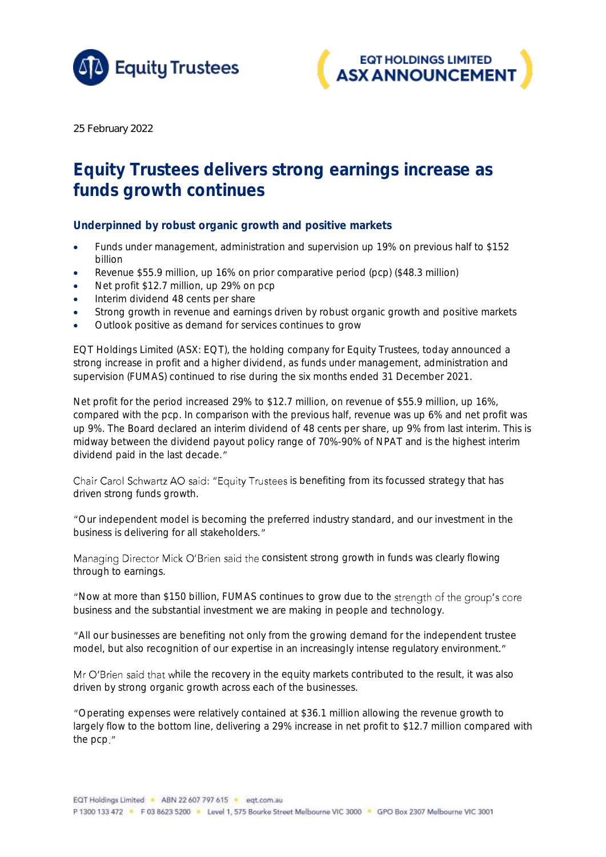



*25 February 2022*

## Equity Trustees delivers strong earnings increase as funds growth continues

Underpinned by robust organic growth and positive markets

- Funds under management, administration and supervision up 19% on previous half to \$152 billion
- Revenue \$55.9 million, up 16% on prior comparative period (pcp) (\$48.3 million)
- Net profit \$12.7 million, up 29% on pcp
- Interim dividend 48 cents per share
- Strong growth in revenue and earnings driven by robust organic growth and positive markets
- Outlook positive as demand for services continues to grow

EQT Holdings Limited (ASX: EQT), the holding company for Equity Trustees, today announced a strong increase in profit and a higher dividend, as funds under management, administration and supervision (FUMAS) continued to rise during the six months ended 31 December 2021.

Net profit for the period increased 29% to \$12.7 million, on revenue of \$55.9 million, up 16%, compared with the pcp. In comparison with the previous half, revenue was up 6% and net profit was up 9%. The Board declared an interim dividend of 48 cents per share, up 9% from last interim. This is midway between the dividend payout policy range of 70%-90% of NPAT and is the highest interim dividend paid in the last decade."

Chair Carol Schwartz AO said: "Equity Trustees is benefiting from its focussed strategy that has driven strong funds growth.

Our independent model is becoming the preferred industry standard, and our investment in the business is delivering for all stakeholders."

Managing Director Mick O'Brien said the consistent strong growth in funds was clearly flowing through to earnings.

"Now at more than \$150 billion, FUMAS continues to grow due to the strength of the group's core business and the substantial investment we are making in people and technology.

All our businesses are benefiting not only from the growing demand for the independent trustee model, but also recognition of our expertise in an increasingly intense regulatory environment."

Mr O'Brien said that while the recovery in the equity markets contributed to the result, it was also driven by strong organic growth across each of the businesses.

Operating expenses were relatively contained at \$36.1 million allowing the revenue growth to largely flow to the bottom line, delivering a 29% increase in net profit to \$12.7 million compared with the pcp."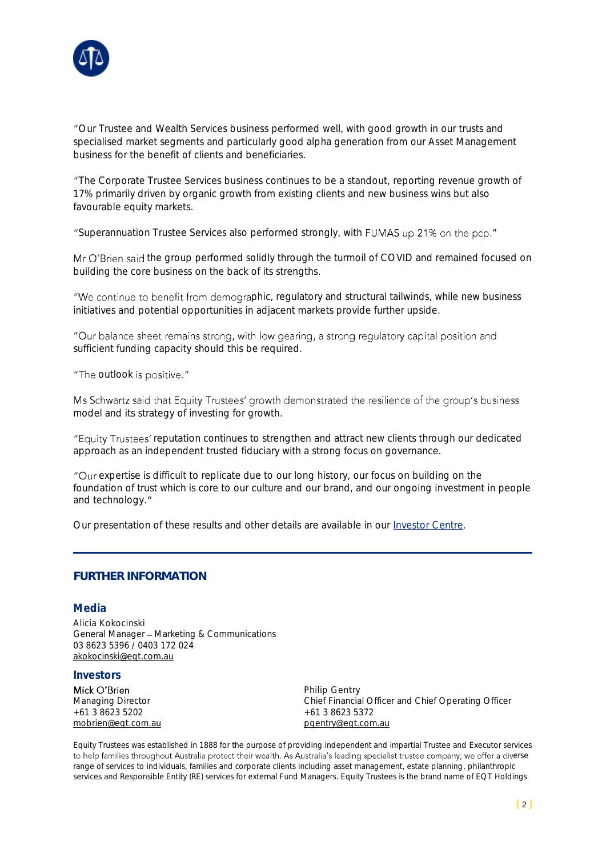

Our Trustee and Wealth Services business performed well, with good growth in our trusts and specialised market segments and particularly good alpha generation from our Asset Management business for the benefit of clients and beneficiaries.

The Corporate Trustee Services business continues to be a standout, reporting revenue growth of 17% primarily driven by organic growth from existing clients and new business wins but also favourable equity markets.

"Superannuation Trustee Services also performed strongly, with FUMAS up 21% on the pcp."

Mr O'Brien said the group performed solidly through the turmoil of COVID and remained focused on building the core business on the back of its strengths.

"We continue to benefit from demographic, regulatory and structural tailwinds, while new business initiatives and potential opportunities in adjacent markets provide further upside.

"Our balance sheet remains strong, with low gearing, a strong regulatory capital position and sufficient funding capacity should this be required.

"The outlook is positive."

Ms Schwartz said that Equity Trustees' growth demonstrated the resilience of the group's business model and its strategy of investing for growth.

"Equity Trustees' reputation continues to strengthen and attract new clients through our dedicated approach as an independent trusted fiduciary with a strong focus on governance.

"Our expertise is difficult to replicate due to our long history, our focus on building on the foundation of trust which is core to our culture and our brand, and our ongoing investment in people and technology."

Our presentation of these results and other details are available in our [Investor Centre](https://www.eqt.com.au/investor-centre).

## **FURTHER INFORMATION**

## Media

Alicia Kokocinski General Manager - Marketing & Communications 03 8623 5396 / 0403 172 024 [akokocinski@eqt.com.au](mailto:akokocinski@eqt.com.au)

## Investors

Mick O'Brien  $+61.3.8623.5202$ [mobrien@eqt.com.au](mailto:mobrien@eqt.com.au) [pgentry@eqt.com.au](mailto:pgentry@eqt.com.au)

Philip Gentry Managing Director <br>  $+61386235202$ <br>  $+61386235372$ 

Equity Trustees was established in 1888 for the purpose of providing independent and impartial Trustee and Executor services to help families throughout Australia protect their wealth. As Australia's leading specialist trustee company, we offer a diverse range of services to individuals, families and corporate clients including asset management, estate planning, philanthropic services and Responsible Entity (RE) services for external Fund Managers. Equity Trustees is the brand name of EQT Holdings